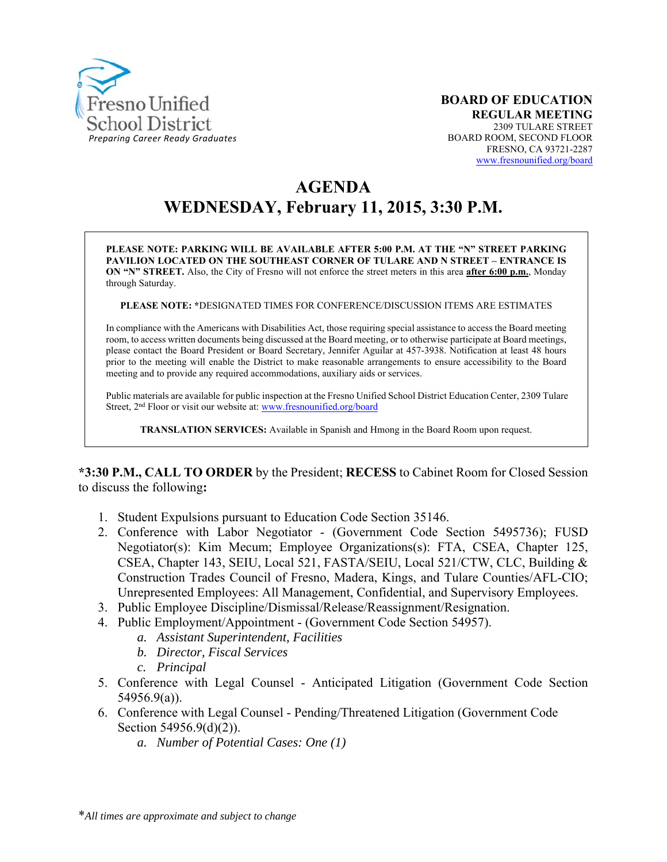

# **AGENDA WEDNESDAY, February 11, 2015, 3:30 P.M.**

**PLEASE NOTE: PARKING WILL BE AVAILABLE AFTER 5:00 P.M. AT THE "N" STREET PARKING PAVILION LOCATED ON THE SOUTHEAST CORNER OF TULARE AND N STREET – ENTRANCE IS ON "N" STREET.** Also, the City of Fresno will not enforce the street meters in this area **after 6:00 p.m.**, Monday through Saturday.

**PLEASE NOTE: \***DESIGNATED TIMES FOR CONFERENCE/DISCUSSION ITEMS ARE ESTIMATES

In compliance with the Americans with Disabilities Act, those requiring special assistance to access the Board meeting room, to access written documents being discussed at the Board meeting, or to otherwise participate at Board meetings, please contact the Board President or Board Secretary, Jennifer Aguilar at 457-3938. Notification at least 48 hours prior to the meeting will enable the District to make reasonable arrangements to ensure accessibility to the Board meeting and to provide any required accommodations, auxiliary aids or services.

Public materials are available for public inspection at the Fresno Unified School District Education Center, 2309 Tulare Street, 2<sup>nd</sup> Floor or visit our website at: www.fresnounified.org/board

**TRANSLATION SERVICES:** Available in Spanish and Hmong in the Board Room upon request.

**\*3:30 P.M., CALL TO ORDER** by the President; **RECESS** to Cabinet Room for Closed Session to discuss the following**:** 

- 1. Student Expulsions pursuant to Education Code Section 35146.
- 2. Conference with Labor Negotiator (Government Code Section 5495736); FUSD Negotiator(s): Kim Mecum; Employee Organizations(s): FTA, CSEA, Chapter 125, CSEA, Chapter 143, SEIU, Local 521, FASTA/SEIU, Local 521/CTW, CLC, Building & Construction Trades Council of Fresno, Madera, Kings, and Tulare Counties/AFL-CIO; Unrepresented Employees: All Management, Confidential, and Supervisory Employees.
- 3. Public Employee Discipline/Dismissal/Release/Reassignment/Resignation.
- 4. Public Employment/Appointment (Government Code Section 54957).
	- *a. Assistant Superintendent, Facilities*
	- *b. Director, Fiscal Services*
	- *c. Principal*
- 5. Conference with Legal Counsel Anticipated Litigation (Government Code Section 54956.9(a)).
- 6. Conference with Legal Counsel Pending/Threatened Litigation (Government Code Section 54956.9(d)(2)).
	- *a. Number of Potential Cases: One (1)*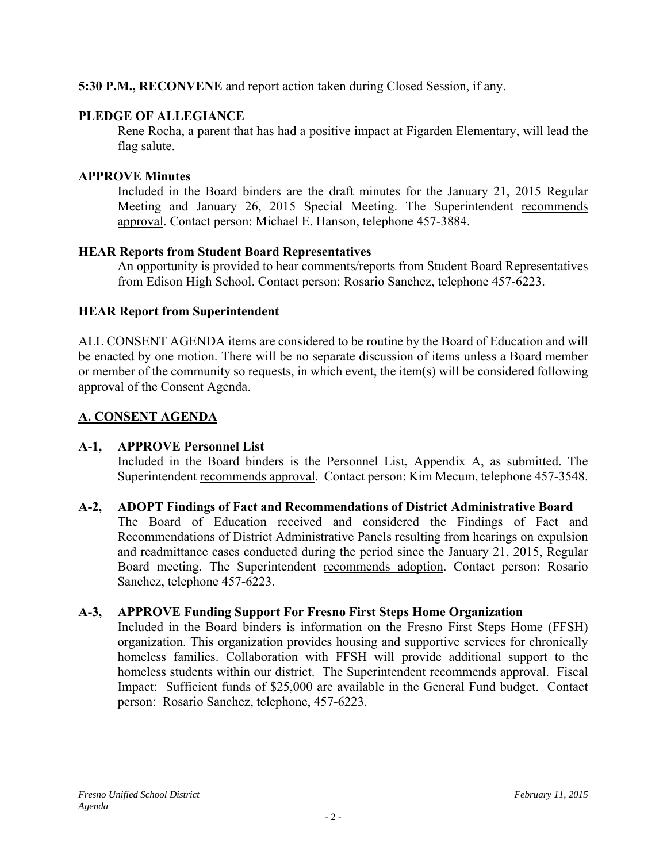### **5:30 P.M., RECONVENE** and report action taken during Closed Session, if any.

### **PLEDGE OF ALLEGIANCE**

Rene Rocha, a parent that has had a positive impact at Figarden Elementary, will lead the flag salute.

### **APPROVE Minutes**

Included in the Board binders are the draft minutes for the January 21, 2015 Regular Meeting and January 26, 2015 Special Meeting. The Superintendent recommends approval. Contact person: Michael E. Hanson, telephone 457-3884.

### **HEAR Reports from Student Board Representatives**

An opportunity is provided to hear comments/reports from Student Board Representatives from Edison High School. Contact person: Rosario Sanchez, telephone 457-6223.

# **HEAR Report from Superintendent**

ALL CONSENT AGENDA items are considered to be routine by the Board of Education and will be enacted by one motion. There will be no separate discussion of items unless a Board member or member of the community so requests, in which event, the item(s) will be considered following approval of the Consent Agenda.

# **A. CONSENT AGENDA**

# **A-1, APPROVE Personnel List**

Included in the Board binders is the Personnel List, Appendix A, as submitted. The Superintendent recommends approval. Contact person: Kim Mecum, telephone 457-3548.

# **A-2, ADOPT Findings of Fact and Recommendations of District Administrative Board**

The Board of Education received and considered the Findings of Fact and Recommendations of District Administrative Panels resulting from hearings on expulsion and readmittance cases conducted during the period since the January 21, 2015, Regular Board meeting. The Superintendent recommends adoption. Contact person: Rosario Sanchez, telephone 457-6223.

# **A-3, APPROVE Funding Support For Fresno First Steps Home Organization**

Included in the Board binders is information on the Fresno First Steps Home (FFSH) organization. This organization provides housing and supportive services for chronically homeless families. Collaboration with FFSH will provide additional support to the homeless students within our district. The Superintendent recommends approval. Fiscal Impact: Sufficient funds of \$25,000 are available in the General Fund budget. Contact person: Rosario Sanchez, telephone, 457-6223.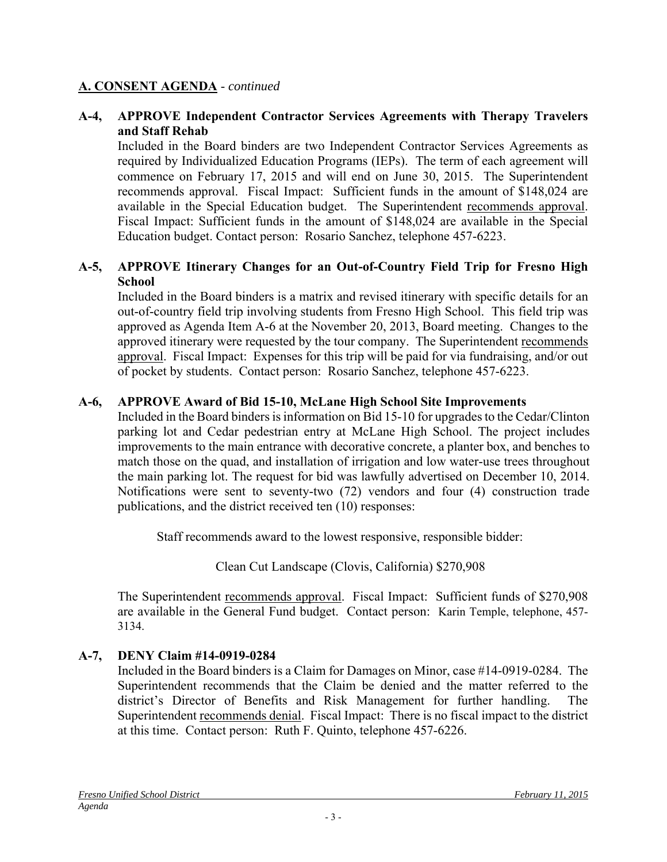#### **A. CONSENT AGENDA** - *continued*

#### **A-4, APPROVE Independent Contractor Services Agreements with Therapy Travelers and Staff Rehab**

Included in the Board binders are two Independent Contractor Services Agreements as required by Individualized Education Programs (IEPs). The term of each agreement will commence on February 17, 2015 and will end on June 30, 2015. The Superintendent recommends approval. Fiscal Impact: Sufficient funds in the amount of \$148,024 are available in the Special Education budget. The Superintendent recommends approval. Fiscal Impact: Sufficient funds in the amount of \$148,024 are available in the Special Education budget. Contact person: Rosario Sanchez, telephone 457-6223.

#### **A-5, APPROVE Itinerary Changes for an Out-of-Country Field Trip for Fresno High School**

Included in the Board binders is a matrix and revised itinerary with specific details for an out-of-country field trip involving students from Fresno High School. This field trip was approved as Agenda Item A-6 at the November 20, 2013, Board meeting. Changes to the approved itinerary were requested by the tour company. The Superintendent recommends approval. Fiscal Impact: Expenses for this trip will be paid for via fundraising, and/or out of pocket by students. Contact person: Rosario Sanchez, telephone 457-6223.

#### **A-6, APPROVE Award of Bid 15-10, McLane High School Site Improvements**

Included in the Board binders is information on Bid 15-10 for upgrades to the Cedar/Clinton parking lot and Cedar pedestrian entry at McLane High School. The project includes improvements to the main entrance with decorative concrete, a planter box, and benches to match those on the quad, and installation of irrigation and low water-use trees throughout the main parking lot. The request for bid was lawfully advertised on December 10, 2014. Notifications were sent to seventy-two (72) vendors and four (4) construction trade publications, and the district received ten (10) responses:

Staff recommends award to the lowest responsive, responsible bidder:

Clean Cut Landscape (Clovis, California) \$270,908

The Superintendent recommends approval. Fiscal Impact: Sufficient funds of \$270,908 are available in the General Fund budget. Contact person: Karin Temple, telephone, 457- 3134.

### **A-7, DENY Claim #14-0919-0284**

Included in the Board binders is a Claim for Damages on Minor, case #14-0919-0284. The Superintendent recommends that the Claim be denied and the matter referred to the district's Director of Benefits and Risk Management for further handling. The Superintendent recommends denial. Fiscal Impact: There is no fiscal impact to the district at this time. Contact person: Ruth F. Quinto, telephone 457-6226.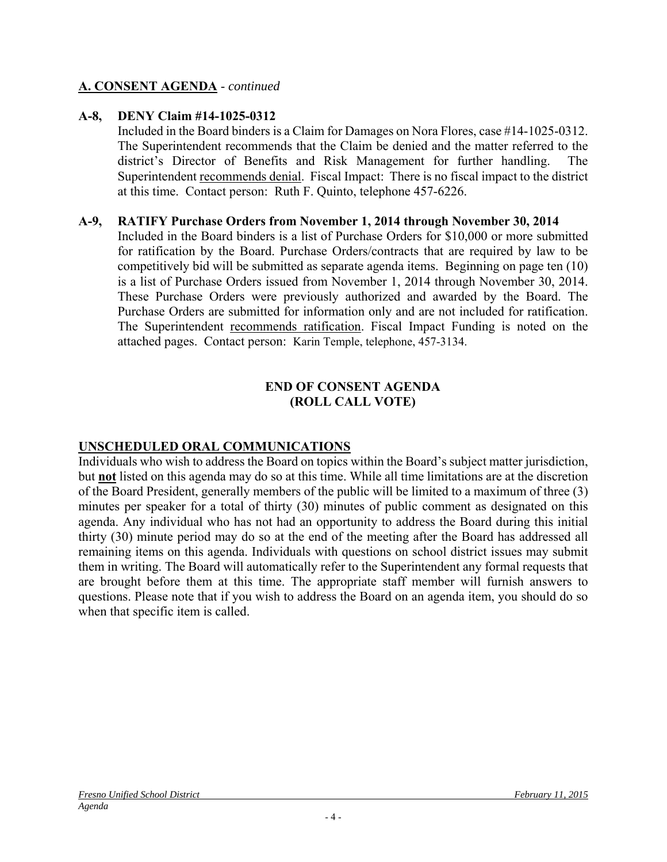#### **A. CONSENT AGENDA** - *continued*

#### **A-8, DENY Claim #14-1025-0312**

Included in the Board binders is a Claim for Damages on Nora Flores, case #14-1025-0312. The Superintendent recommends that the Claim be denied and the matter referred to the district's Director of Benefits and Risk Management for further handling. The Superintendent recommends denial. Fiscal Impact: There is no fiscal impact to the district at this time. Contact person: Ruth F. Quinto, telephone 457-6226.

#### **A-9, RATIFY Purchase Orders from November 1, 2014 through November 30, 2014**

Included in the Board binders is a list of Purchase Orders for \$10,000 or more submitted for ratification by the Board. Purchase Orders/contracts that are required by law to be competitively bid will be submitted as separate agenda items. Beginning on page ten (10) is a list of Purchase Orders issued from November 1, 2014 through November 30, 2014. These Purchase Orders were previously authorized and awarded by the Board. The Purchase Orders are submitted for information only and are not included for ratification. The Superintendent recommends ratification. Fiscal Impact Funding is noted on the attached pages. Contact person: Karin Temple, telephone, 457-3134.

#### **END OF CONSENT AGENDA (ROLL CALL VOTE)**

### **UNSCHEDULED ORAL COMMUNICATIONS**

Individuals who wish to address the Board on topics within the Board's subject matter jurisdiction, but **not** listed on this agenda may do so at this time. While all time limitations are at the discretion of the Board President, generally members of the public will be limited to a maximum of three (3) minutes per speaker for a total of thirty (30) minutes of public comment as designated on this agenda. Any individual who has not had an opportunity to address the Board during this initial thirty (30) minute period may do so at the end of the meeting after the Board has addressed all remaining items on this agenda. Individuals with questions on school district issues may submit them in writing. The Board will automatically refer to the Superintendent any formal requests that are brought before them at this time. The appropriate staff member will furnish answers to questions. Please note that if you wish to address the Board on an agenda item, you should do so when that specific item is called.